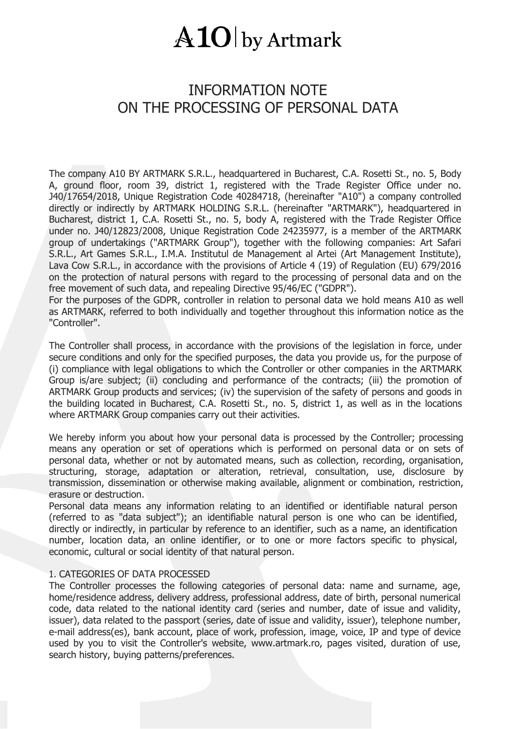### INFORMATION NOTE ON THE PROCESSING OF PERSONAL DATA

The company A10 BY ARTMARK S.R.L., headquartered in Bucharest, C.A. Rosetti St., no. 5, Body A, ground floor, room 39, district 1, registered with the Trade Register Office under no. J40/17654/2018, Unique Registration Code 40284718, (hereinafter "A10") a company controlled directly or indirectly by ARTMARK HOLDING S.R.L. (hereinafter "ARTMARK"), headquartered in Bucharest, district 1, C.A. Rosetti St., no. 5, body A, registered with the Trade Register Office under no. J40/12823/2008, Unique Registration Code 24235977, is a member of the ARTMARK group of undertakings ("ARTMARK Group"), together with the following companies: Art Safari S.R.L., Art Games S.R.L., I.M.A. Institutul de Management al Artei (Art Management Institute), Lava Cow S.R.L., in accordance with the provisions of Article 4 (19) of Regulation (EU) 679/2016 on the protection of natural persons with regard to the processing of personal data and on the free movement of such data, and repealing Directive 95/46/EC ("GDPR").

For the purposes of the GDPR, controller in relation to personal data we hold means A10 as well as ARTMARK, referred to both individually and together throughout this information notice as the "Controller".

The Controller shall process, in accordance with the provisions of the legislation in force, under secure conditions and only for the specified purposes, the data you provide us, for the purpose of (i) compliance with legal obligations to which the Controller or other companies in the ARTMARK Group is/are subject; (ii) concluding and performance of the contracts; (iii) the promotion of ARTMARK Group products and services; (iv) the supervision of the safety of persons and goods in the building located in Bucharest, C.A. Rosetti St., no. 5, district 1, as well as in the locations where ARTMARK Group companies carry out their activities.

We hereby inform you about how your personal data is processed by the Controller; processing means any operation or set of operations which is performed on personal data or on sets of personal data, whether or not by automated means, such as collection, recording, organisation, structuring, storage, adaptation or alteration, retrieval, consultation, use, disclosure by transmission, dissemination or otherwise making available, alignment or combination, restriction, erasure or destruction.

Personal data means any information relating to an identified or identifiable natural person (referred to as "data subject"); an identifiable natural person is one who can be identified, directly or indirectly, in particular by reference to an identifier, such as a name, an identification number, location data, an online identifier, or to one or more factors specific to physical, economic, cultural or social identity of that natural person.

#### 1. CATEGORIES OF DATA PROCESSED

The Controller processes the following categories of personal data: name and surname, age, home/residence address, delivery address, professional address, date of birth, personal numerical code, data related to the national identity card (series and number, date of issue and validity, issuer), data related to the passport (series, date of issue and validity, issuer), telephone number, e-mail address(es), bank account, place of work, profession, image, voice, IP and type of device used by you to visit the Controller's website, [www.artmark.ro,](http://www.artmark.ro/) pages visited, duration of use, search history, buying patterns/preferences.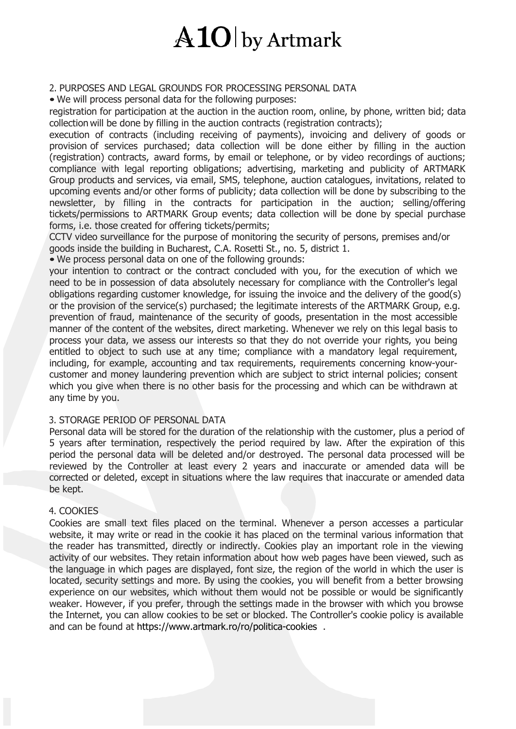#### 2. PURPOSES AND LEGAL GROUNDS FOR PROCESSING PERSONAL DATA

• We will process personal data for the following purposes:

registration for participation at the auction in the auction room, online, by phone, written bid; data collection will be done by filling in the auction contracts (registration contracts);

execution of contracts (including receiving of payments), invoicing and delivery of goods or provision of services purchased; data collection will be done either by filling in the auction (registration) contracts, award forms, by email or telephone, or by video recordings of auctions; compliance with legal reporting obligations; advertising, marketing and publicity of ARTMARK Group products and services, via email, SMS, telephone, auction catalogues, invitations, related to upcoming events and/or other forms of publicity; data collection will be done by subscribing to the newsletter, by filling in the contracts for participation in the auction; selling/offering tickets/permissions to ARTMARK Group events; data collection will be done by special purchase forms, i.e. those created for offering tickets/permits;

CCTV video surveillance for the purpose of monitoring the security of persons, premises and/or goods inside the building in Bucharest, C.A. Rosetti St., no. 5, district 1. • We process personal data on one of the following grounds:

your intention to contract or the contract concluded with you, for the execution of which we need to be in possession of data absolutely necessary for compliance with the Controller's legal obligations regarding customer knowledge, for issuing the invoice and the delivery of the good(s) or the provision of the service(s) purchased; the legitimate interests of the ARTMARK Group, e.g. prevention of fraud, maintenance of the security of goods, presentation in the most accessible manner of the content of the websites, direct marketing. Whenever we rely on this legal basis to process your data, we assess our interests so that they do not override your rights, you being entitled to object to such use at any time; compliance with a mandatory legal requirement, including, for example, accounting and tax requirements, requirements concerning know-your customer and money laundering prevention which are subject to strict internal policies; consent which you give when there is no other basis for the processing and which can be withdrawn at any time by you.

#### 3. STORAGE PERIOD OF PERSONAL DATA

Personal data will be stored for the duration of the relationship with the customer, plus a period of 5 years after termination, respectively the period required by law. After the expiration of this period the personal data will be deleted and/or destroyed. The personal data processed will be reviewed by the Controller at least every 2 years and inaccurate or amended data will be corrected or deleted, except in situations where the law requires that inaccurate or amended data be kept.

#### 4. COOKIES

Cookies are small text files placed on the terminal. Whenever a person accesses a particular website, it may write or read in the cookie it has placed on the terminal various information that the reader has transmitted, directly or indirectly. Cookies play an important role in the viewing activity of our websites. They retain information about how web pages have been viewed, such as the language in which pages are displayed, font size, the region of the world in which the user is located, security settings and more. By using the cookies, you will benefit from a better browsing experience on our websites, which without them would not be possible or would be significantly weaker. However, if you prefer, through the settings made in the browser with which you browse the Internet, you can allow cookies to be set or blocked. The Controller's cookie policy is available and can be found at <https://www.artmark.ro/ro/politica-cookies> .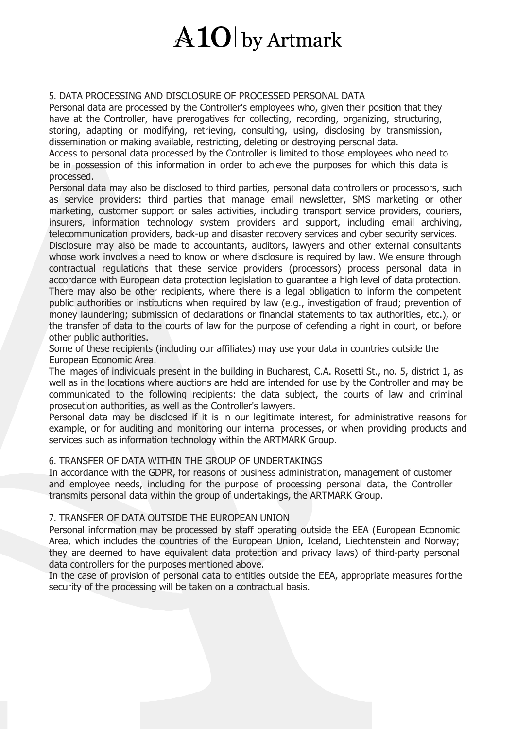#### 5. DATA PROCESSING AND DISCLOSURE OF PROCESSED PERSONAL DATA

Personal data are processed by the Controller's employees who, given their position that they have at the Controller, have prerogatives for collecting, recording, organizing, structuring, storing, adapting or modifying, retrieving, consulting, using, disclosing by transmission, dissemination or making available, restricting, deleting or destroying personal data.

Access to personal data processed by the Controller is limited to those employees who need to be in possession of this information in order to achieve the purposes for which this data is processed.

Personal data may also be disclosed to third parties, personal data controllers or processors, such as service providers: third parties that manage email newsletter, SMS marketing or other marketing, customer support or sales activities, including transport service providers, couriers, insurers, information technology system providers and support, including email archiving, telecommunication providers, back-up and disaster recovery services and cyber security services. Disclosure may also be made to accountants, auditors, lawyers and other external consultants whose work involves a need to know or where disclosure is required by law. We ensure through contractual regulations that these service providers (processors) process personal data in accordance with European data protection legislation to guarantee a high level of data protection. There may also be other recipients, where there is a legal obligation to inform the competent public authorities or institutions when required by law (e.g., investigation of fraud; prevention of money laundering; submission of declarations or financial statements to tax authorities, etc.), or

the transfer of data to the courts of law for the purpose of defending a right in court, or before other public authorities.

Some of these recipients (including our affiliates) may use your data in countries outside the European Economic Area.

The images of individuals present in the building in Bucharest, C.A. Rosetti St., no. 5, district 1, as well as in the locations where auctions are held are intended for use by the Controller and may be communicated to the following recipients: the data subject, the courts of law and criminal prosecution authorities, as well as the Controller's lawyers.

Personal data may be disclosed if it is in our legitimate interest, for administrative reasons for example, or for auditing and monitoring our internal processes, or when providing products and services such as information technology within the ARTMARK Group.

#### 6. TRANSFER OF DATA WITHIN THE GROUP OF UNDERTAKINGS

In accordance with the GDPR, for reasons of business administration, management of customer and employee needs, including for the purpose of processing personal data, the Controller transmits personal data within the group of undertakings, the ARTMARK Group.

#### 7. TRANSFER OF DATA OUTSIDE THE EUROPEAN UNION

Personal information may be processed by staff operating outside the EEA (European Economic Area, which includes the countries of the European Union, Iceland, Liechtenstein and Norway; they are deemed to have equivalent data protection and privacy laws) of third-party personal data controllers for the purposes mentioned above.

In the case of provision of personal data to entities outside the EEA, appropriate measures forthe security of the processing will be taken on a contractual basis.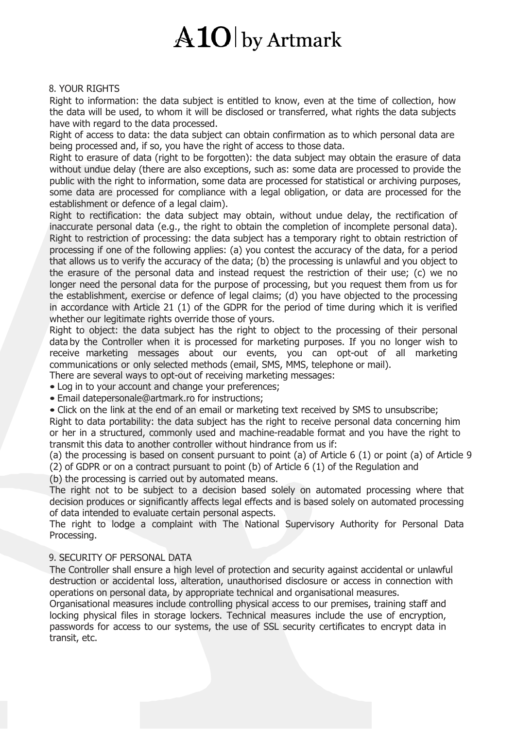### $\rm{A1O}$  by Artmark

#### 8. YOUR RIGHTS

Right to information: the data subject is entitled to know, even at the time of collection, how the data will be used, to whom it will be disclosed or transferred, what rights the data subjects have with regard to the data processed.

Right of access to data: the data subject can obtain confirmation as to which personal data are being processed and, if so, you have the right of access to those data.

Right to erasure of data (right to be forgotten): the data subject may obtain the erasure of data without undue delay (there are also exceptions, such as: some data are processed to provide the public with the right to information, some data are processed for statistical or archiving purposes, some data are processed for compliance with a legal obligation, or data are processed for the establishment or defence of a legal claim).

Right to rectification: the data subject may obtain, without undue delay, the rectification of inaccurate personal data (e.g., the right to obtain the completion of incomplete personal data). Right to restriction of processing: the data subject has a temporary right to obtain restriction of processing if one of the following applies: (a) you contest the accuracy of the data, for a period that allows us to verify the accuracy of the data; (b) the processing is unlawful and you object to the erasure of the personal data and instead request the restriction of their use; (c) we no longer need the personal data for the purpose of processing, but you request them from us for the establishment, exercise or defence of legal claims; (d) you have objected to the processing in accordance with Article 21 (1) of the GDPR for the period of time during which it is verified whether our legitimate rights override those of yours.

Right to object: the data subject has the right to object to the processing of their personal data by the Controller when it is processed for marketing purposes. If you no longer wish to receive marketing messages about our events, you can opt-outof all marketing communications or only selected methods (email, SMS, MMS, telephone or mail). There are several ways to opt-out of receiving marketing messages:

• Log in to your account and change your preferences; • Email [datepersonale@artmark.ro](mailto:datepersonale@artmark.ro) for instructions;

• Click on the link at the end of an email or marketing text received by SMS to unsubscribe;

Right to data portability: the data subject has the right to receive personal data concerning him or her in a structured, commonly used and machine-readable format and you have the right to transmit this data to another controller without hindrance from us if:

(a) the processing is based on consent pursuant to point (a) of Article 6  $(1)$  or point (a) of Article 9 (2) of GDPR or on a contract pursuant to point (b) of Article  $6(1)$  of the Regulation and

(b) the processing is carried out by automated means.

The right not to be subject to a decision based solely on automated processing where that decision produces or significantly affects legal effects and is based solely on automated processing of data intended to evaluate certain personal aspects.

The right to lodge a complaint with The National Supervisory Authority for Personal Data Processing.

#### 9. SECURITY OF PERSONAL DATA

The Controller shall ensure a high level of protection and security against accidental or unlawful destruction or accidental loss, alteration, unauthorised disclosure or access in connection with operations on personal data, by appropriate technical and organisational measures.

Organisational measures include controlling physical access to our premises, training staff and locking physical files in storage lockers. Technical measures include the use of encryption, passwords for access to our systems, the use of SSL security certificates to encrypt data in transit, etc.